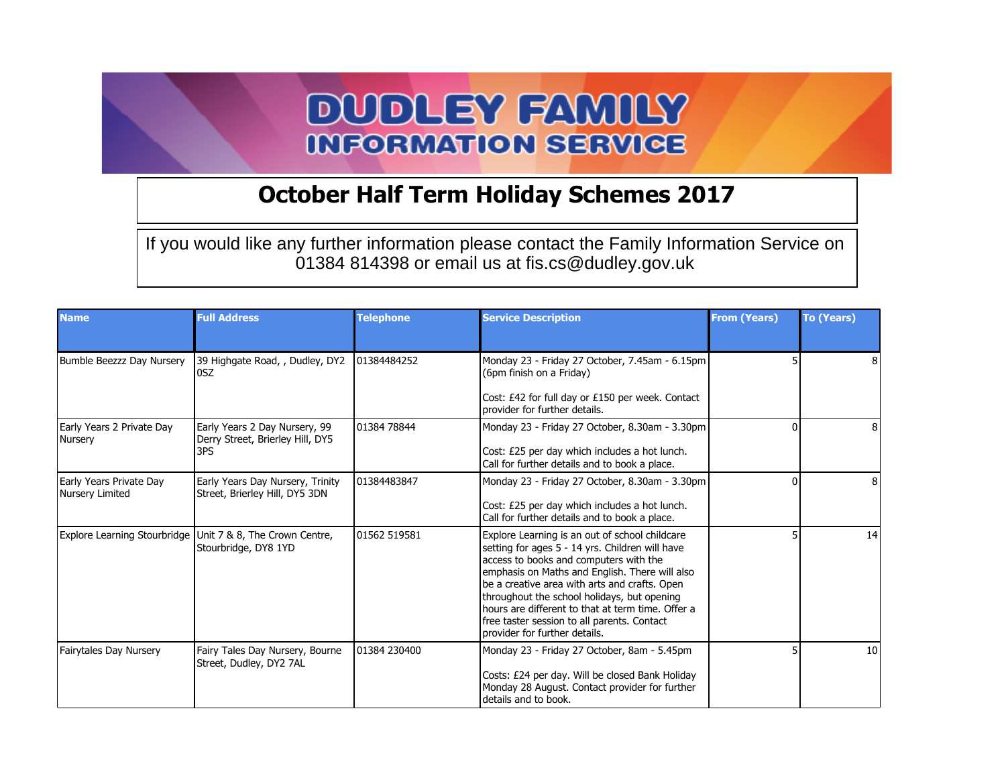## **DUDLEY FAMILY INFORMATION SERVICE**

## **October Half Term Holiday Schemes 2017**

If you would like any further information please contact the Family Information Service on 01384 814398 or email us at fis.cs@dudley.gov.uk

| <b>Name</b>                                | <b>Full Address</b>                                                                | <b>Telephone</b> | <b>Service Description</b>                                                                                                                                                                                                                                                                                                                                                                                                         | <b>From (Years)</b> | To (Years) |
|--------------------------------------------|------------------------------------------------------------------------------------|------------------|------------------------------------------------------------------------------------------------------------------------------------------------------------------------------------------------------------------------------------------------------------------------------------------------------------------------------------------------------------------------------------------------------------------------------------|---------------------|------------|
| Bumble Beezzz Day Nursery                  | 39 Highgate Road, , Dudley, DY2<br>0SZ                                             | 01384484252      | Monday 23 - Friday 27 October, 7.45am - 6.15pm<br>(6pm finish on a Friday)<br>Cost: £42 for full day or £150 per week. Contact<br>provider for further details.                                                                                                                                                                                                                                                                    |                     |            |
| Early Years 2 Private Day<br>Nursery       | Early Years 2 Day Nursery, 99<br>Derry Street, Brierley Hill, DY5<br>3PS           | 01384 78844      | Monday 23 - Friday 27 October, 8.30am - 3.30pm<br>Cost: £25 per day which includes a hot lunch.<br>Call for further details and to book a place.                                                                                                                                                                                                                                                                                   |                     | 8          |
| Early Years Private Day<br>Nursery Limited | Early Years Day Nursery, Trinity<br>Street, Brierley Hill, DY5 3DN                 | 101384483847     | Monday 23 - Friday 27 October, 8.30am - 3.30pm<br>Cost: £25 per day which includes a hot lunch.<br>Call for further details and to book a place.                                                                                                                                                                                                                                                                                   |                     | 8          |
|                                            | Explore Learning Stourbridge Unit 7 & 8, The Crown Centre,<br>Stourbridge, DY8 1YD | 01562 519581     | Explore Learning is an out of school childcare<br>setting for ages 5 - 14 yrs. Children will have<br>access to books and computers with the<br>emphasis on Maths and English. There will also<br>be a creative area with arts and crafts. Open<br>throughout the school holidays, but opening<br>hours are different to that at term time. Offer a<br>free taster session to all parents. Contact<br>provider for further details. |                     | 14         |
| <b>Fairytales Day Nursery</b>              | Fairy Tales Day Nursery, Bourne<br>Street, Dudley, DY2 7AL                         | 01384 230400     | Monday 23 - Friday 27 October, 8am - 5.45pm<br>Costs: £24 per day. Will be closed Bank Holiday<br>Monday 28 August. Contact provider for further<br>details and to book.                                                                                                                                                                                                                                                           |                     | 10         |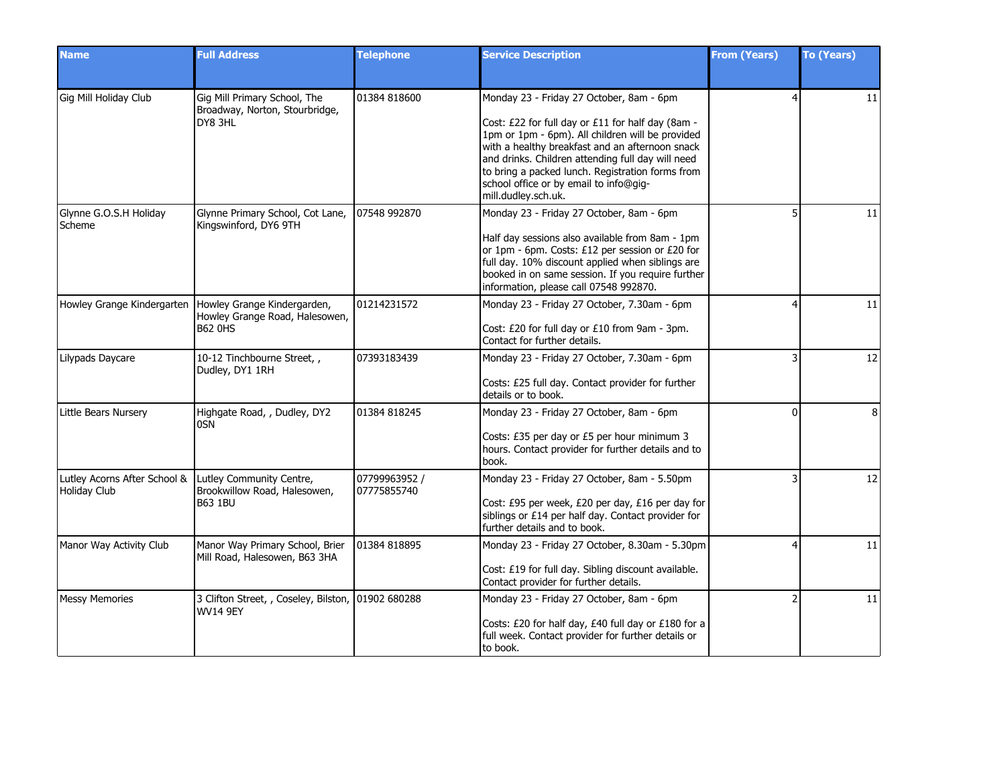| <b>Name</b>                                  | <b>Full Address</b>                                                             | <b>Telephone</b>             | <b>Service Description</b>                                                                                                                                                                                                                                                                                                                                                     | <b>From (Years)</b> | <b>To (Years)</b> |
|----------------------------------------------|---------------------------------------------------------------------------------|------------------------------|--------------------------------------------------------------------------------------------------------------------------------------------------------------------------------------------------------------------------------------------------------------------------------------------------------------------------------------------------------------------------------|---------------------|-------------------|
|                                              |                                                                                 |                              |                                                                                                                                                                                                                                                                                                                                                                                |                     |                   |
| Gig Mill Holiday Club                        | Gig Mill Primary School, The<br>Broadway, Norton, Stourbridge,<br>DY8 3HL       | 01384 818600                 | Monday 23 - Friday 27 October, 8am - 6pm<br>Cost: £22 for full day or £11 for half day (8am -<br>1pm or 1pm - 6pm). All children will be provided<br>with a healthy breakfast and an afternoon snack<br>and drinks. Children attending full day will need<br>to bring a packed lunch. Registration forms from<br>school office or by email to info@gig-<br>mill.dudley.sch.uk. |                     | 11                |
| Glynne G.O.S.H Holiday<br>Scheme             | Glynne Primary School, Cot Lane,<br>Kingswinford, DY6 9TH                       | 07548 992870                 | Monday 23 - Friday 27 October, 8am - 6pm<br>Half day sessions also available from 8am - 1pm<br>or 1pm - 6pm. Costs: £12 per session or £20 for<br>full day. 10% discount applied when siblings are<br>booked in on same session. If you require further<br>information, please call 07548 992870.                                                                              |                     | 11                |
| Howley Grange Kindergarten                   | Howley Grange Kindergarden,<br>Howley Grange Road, Halesowen,<br><b>B62 0HS</b> | 01214231572                  | Monday 23 - Friday 27 October, 7.30am - 6pm<br>Cost: £20 for full day or £10 from 9am - 3pm.<br>Contact for further details.                                                                                                                                                                                                                                                   |                     | 11                |
| Lilypads Daycare                             | 10-12 Tinchbourne Street,,<br>Dudley, DY1 1RH                                   | 07393183439                  | Monday 23 - Friday 27 October, 7.30am - 6pm<br>Costs: £25 full day. Contact provider for further<br>details or to book.                                                                                                                                                                                                                                                        |                     | 12                |
| Little Bears Nursery                         | Highgate Road, , Dudley, DY2<br>0SN                                             | 01384 818245                 | Monday 23 - Friday 27 October, 8am - 6pm<br>Costs: £35 per day or £5 per hour minimum 3<br>hours. Contact provider for further details and to<br>book.                                                                                                                                                                                                                         | <sup>0</sup>        | 8                 |
| Lutley Acorns After School &<br>Holiday Club | Lutley Community Centre,<br>Brookwillow Road, Halesowen,<br><b>B63 1BU</b>      | 07799963952 /<br>07775855740 | Monday 23 - Friday 27 October, 8am - 5.50pm<br>Cost: £95 per week, £20 per day, £16 per day for<br>siblings or £14 per half day. Contact provider for<br>further details and to book.                                                                                                                                                                                          |                     | 12                |
| Manor Way Activity Club                      | Manor Way Primary School, Brier<br>Mill Road, Halesowen, B63 3HA                | 01384 818895                 | Monday 23 - Friday 27 October, 8.30am - 5.30pm<br>Cost: £19 for full day. Sibling discount available.<br>Contact provider for further details.                                                                                                                                                                                                                                 |                     | 11                |
| <b>Messy Memories</b>                        | 3 Clifton Street, , Coseley, Bilston, 01902 680288<br><b>WV14 9EY</b>           |                              | Monday 23 - Friday 27 October, 8am - 6pm<br>Costs: £20 for half day, £40 full day or £180 for a<br>full week. Contact provider for further details or<br>to book.                                                                                                                                                                                                              |                     | 11                |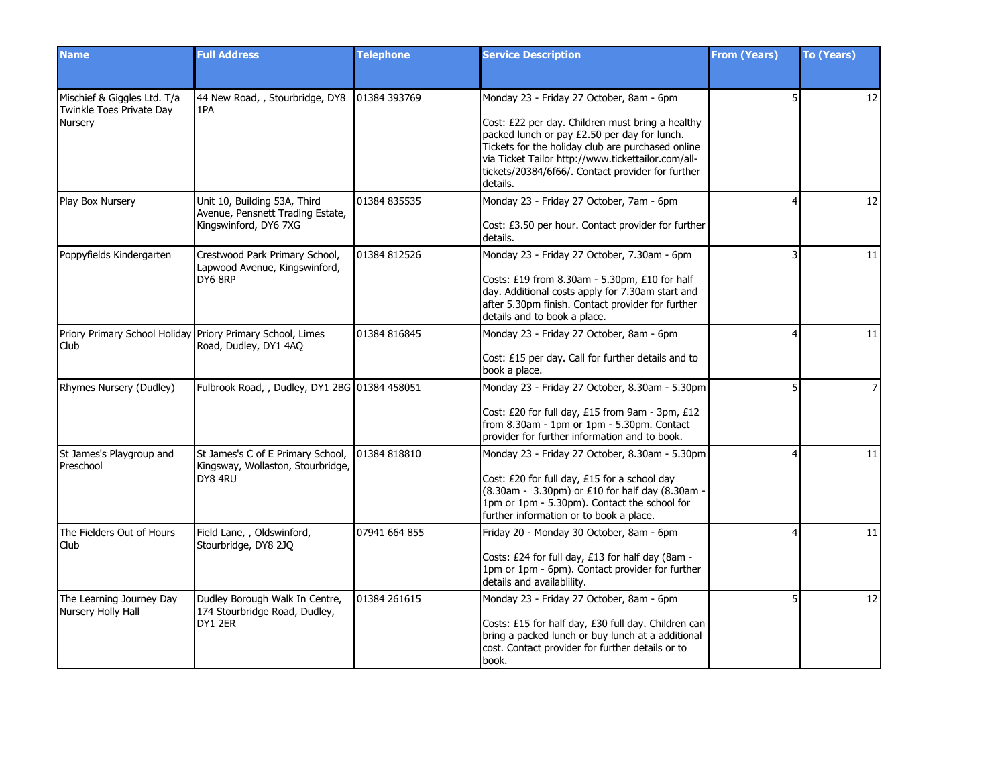| <b>Name</b>                                                        | <b>Full Address</b>                                                                       | <b>Telephone</b> | <b>Service Description</b>                                                                                                                                                                                                                                                                                               | <b>From (Years)</b> | <b>To (Years)</b> |
|--------------------------------------------------------------------|-------------------------------------------------------------------------------------------|------------------|--------------------------------------------------------------------------------------------------------------------------------------------------------------------------------------------------------------------------------------------------------------------------------------------------------------------------|---------------------|-------------------|
| Mischief & Giggles Ltd. T/a<br>Twinkle Toes Private Day<br>Nursery | 44 New Road, , Stourbridge, DY8<br>1PA                                                    | 101384 393769    | Monday 23 - Friday 27 October, 8am - 6pm<br>Cost: £22 per day. Children must bring a healthy<br>packed lunch or pay £2.50 per day for lunch.<br>Tickets for the holiday club are purchased online<br>via Ticket Tailor http://www.tickettailor.com/all-<br>tickets/20384/6f66/. Contact provider for further<br>details. |                     | 12                |
| Play Box Nursery                                                   | Unit 10, Building 53A, Third<br>Avenue, Pensnett Trading Estate,<br>Kingswinford, DY6 7XG | 01384 835535     | Monday 23 - Friday 27 October, 7am - 6pm<br>Cost: £3.50 per hour. Contact provider for further<br>details.                                                                                                                                                                                                               |                     | 12                |
| Poppyfields Kindergarten                                           | Crestwood Park Primary School,<br>Lapwood Avenue, Kingswinford,<br>DY6 8RP                | 01384 812526     | Monday 23 - Friday 27 October, 7.30am - 6pm<br>Costs: £19 from 8.30am - 5.30pm, £10 for half<br>day. Additional costs apply for 7.30am start and<br>after 5.30pm finish. Contact provider for further<br>details and to book a place.                                                                                    |                     | 11                |
| Priory Primary School Holiday Priory Primary School, Limes<br>Club | Road, Dudley, DY1 4AQ                                                                     | 01384 816845     | Monday 23 - Friday 27 October, 8am - 6pm<br>Cost: £15 per day. Call for further details and to<br>book a place.                                                                                                                                                                                                          |                     | 11                |
| Rhymes Nursery (Dudley)                                            | Fulbrook Road, , Dudley, DY1 2BG 01384 458051                                             |                  | Monday 23 - Friday 27 October, 8.30am - 5.30pm<br>Cost: £20 for full day, £15 from 9am - 3pm, £12<br>from 8.30am - 1pm or 1pm - 5.30pm. Contact<br>provider for further information and to book.                                                                                                                         |                     | $\overline{7}$    |
| St James's Playgroup and<br>Preschool                              | St James's C of E Primary School,<br>Kingsway, Wollaston, Stourbridge,<br>DY8 4RU         | 01384 818810     | Monday 23 - Friday 27 October, 8.30am - 5.30pm<br>Cost: £20 for full day, £15 for a school day<br>(8.30am - 3.30pm) or £10 for half day (8.30am -<br>1pm or 1pm - 5.30pm). Contact the school for<br>further information or to book a place.                                                                             |                     | 11                |
| The Fielders Out of Hours<br>Club                                  | Field Lane, , Oldswinford,<br>Stourbridge, DY8 2JQ                                        | 07941 664 855    | Friday 20 - Monday 30 October, 8am - 6pm<br>Costs: £24 for full day, £13 for half day (8am -<br>1pm or 1pm - 6pm). Contact provider for further<br>details and availablility.                                                                                                                                            |                     | 11                |
| The Learning Journey Day<br>Nursery Holly Hall                     | Dudley Borough Walk In Centre,<br>174 Stourbridge Road, Dudley,<br>DY1 2ER                | 01384 261615     | Monday 23 - Friday 27 October, 8am - 6pm<br>Costs: £15 for half day, £30 full day. Children can<br>bring a packed lunch or buy lunch at a additional<br>cost. Contact provider for further details or to<br>book.                                                                                                        | 5                   | 12                |